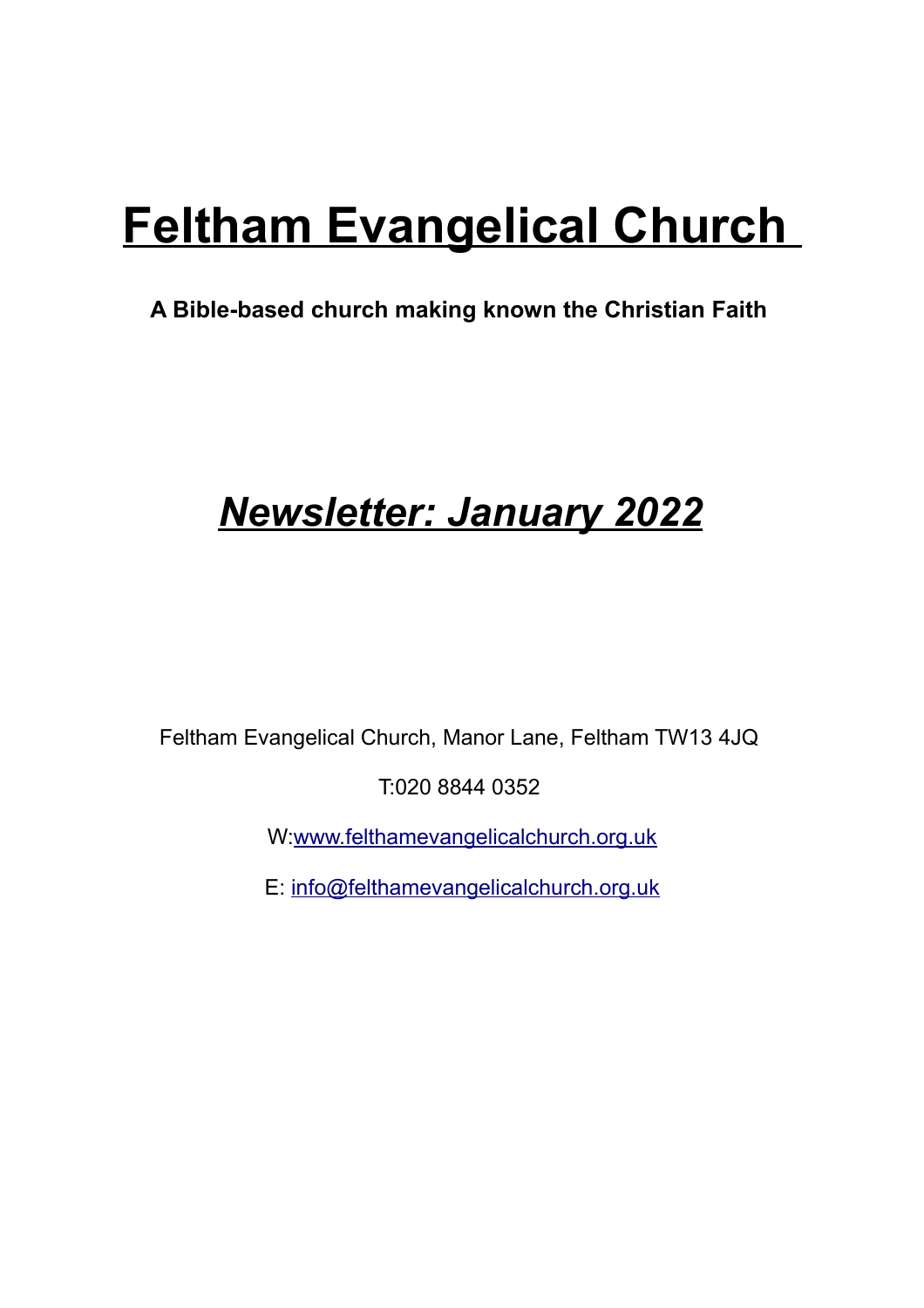# **Feltham Evangelical Church**

### **A Bible-based church making known the Christian Faith**

## *Newsletter: January 2022*

Feltham Evangelical Church, Manor Lane, Feltham TW13 4JQ

T:020 8844 0352

W[:www.felthamevangelicalchurch.org.uk](http://www.felthamevangelicalchurch.org.uk/)

E: [info@felthamevangelicalchurch.org.uk](mailto:info@felthamevangelicalchurch.org.uk)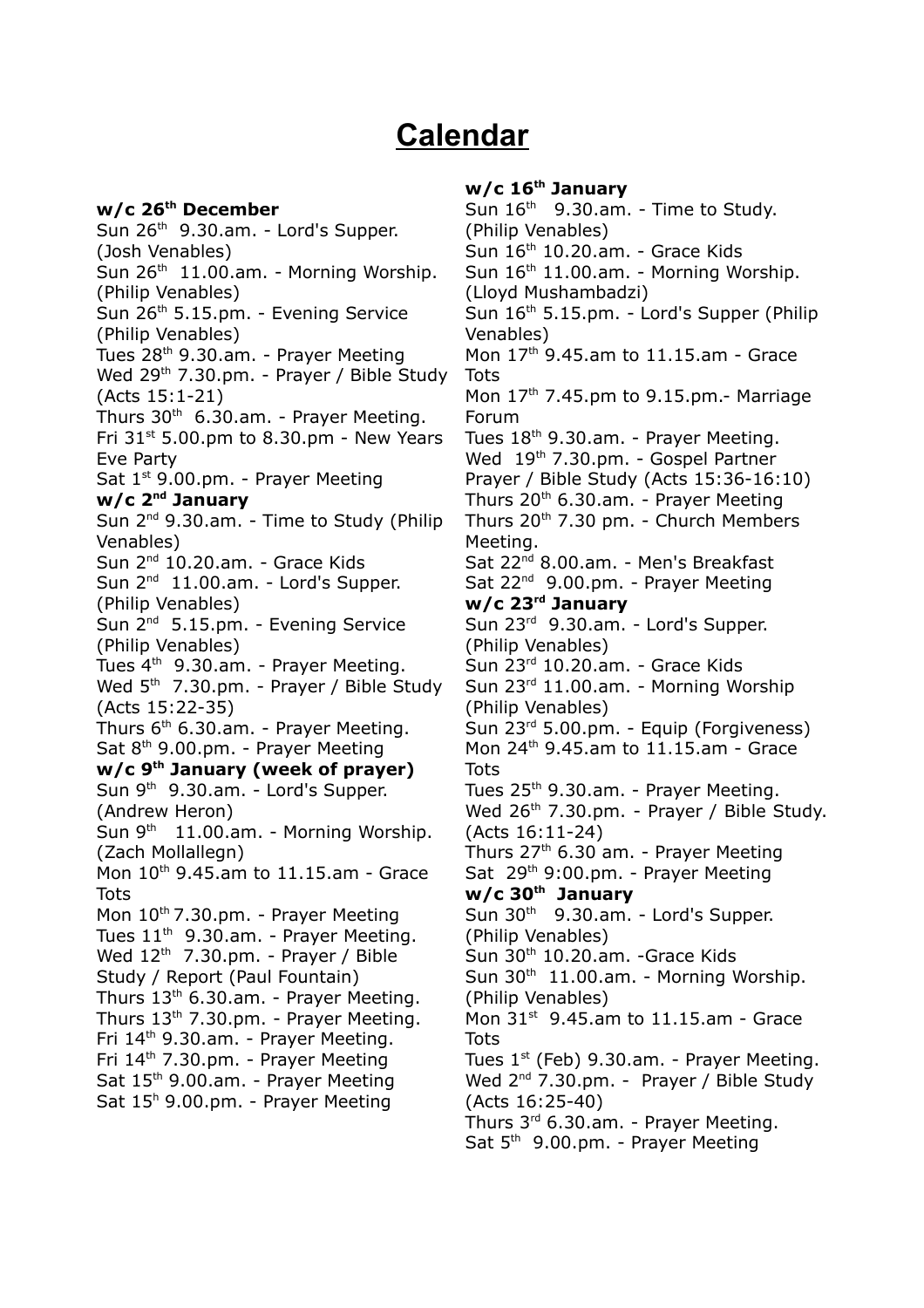### **Calendar**

**w/c 26th December** Sun 26th 9.30.am. - Lord's Supper. (Josh Venables) Sun  $26<sup>th</sup>$  11.00.am. - Morning Worship. (Philip Venables) Sun 26<sup>th</sup> 5.15.pm. - Evenina Service (Philip Venables) Tues  $28<sup>th</sup>$  9.30.am. - Prayer Meeting Wed 29<sup>th</sup> 7.30.pm. - Prayer / Bible Study (Acts 15:1-21) Thurs  $30<sup>th</sup>$  6.30.am. - Praver Meeting. Fri  $31<sup>st</sup>$  5.00.pm to 8.30.pm - New Years Eve Party Sat 1<sup>st</sup> 9.00.pm. - Prayer Meeting **w/c 2nd January**  Sun 2<sup>nd</sup> 9.30.am. - Time to Study (Philip Venables) Sun 2<sup>nd</sup> 10.20.am. - Grace Kids Sun 2<sup>nd</sup> 11.00.am. - Lord's Supper. (Philip Venables) Sun 2<sup>nd</sup> 5.15.pm. - Evening Service (Philip Venables) Tues  $4<sup>th</sup>$  9.30.am. - Prayer Meeting. Wed 5<sup>th</sup> 7.30.pm. - Prayer / Bible Study (Acts 15:22-35) Thurs  $6<sup>th</sup>$  6.30.am. - Praver Meeting. Sat 8<sup>th</sup> 9.00.pm. - Prayer Meeting **w/c 9th January (week of prayer)** Sun 9<sup>th</sup> 9.30.am. - Lord's Supper. (Andrew Heron) Sun  $9<sup>th</sup>$  11.00.am. - Morning Worship. (Zach Mollallegn) Mon 10th 9.45.am to 11.15.am - Grace **Tots** Mon  $10^{th}$  7.30.pm. - Prayer Meeting Tues  $11<sup>th</sup>$  9.30.am. - Prayer Meeting. Wed  $12<sup>th</sup>$  7.30.pm. - Prayer / Bible Study / Report (Paul Fountain) Thurs 13th 6.30.am. - Prayer Meeting. Thurs 13th 7.30.pm. - Prayer Meeting. Fri 14th 9.30.am. - Prayer Meeting. Fri 14th 7.30.pm. - Prayer Meeting Sat 15<sup>th</sup> 9.00.am. - Prayer Meeting Sat 15<sup>h</sup> 9.00.pm. - Prayer Meeting

#### **w/c 16th January**

Sun  $16<sup>th</sup>$  9.30.am. - Time to Study. (Philip Venables)  $Sum 16<sup>th</sup> 10.20 am.$  - Grace Kids Sun 16<sup>th</sup> 11.00.am. - Morning Worship. (Lloyd Mushambadzi) Sun 16th 5.15.pm. - Lord's Supper (Philip Venables) Mon 17th 9.45.am to 11.15.am - Grace Tots Mon 17<sup>th</sup> 7.45.pm to 9.15.pm.- Marriage Forum Tues 18th 9.30.am. - Prayer Meeting. Wed 19<sup>th</sup> 7.30.pm. - Gospel Partner Prayer / Bible Study (Acts 15:36-16:10) Thurs  $20<sup>th</sup>$  6.30.am. - Prayer Meeting Thurs 20th 7.30 pm. - Church Members Meeting. Sat 22<sup>nd</sup> 8.00.am. - Men's Breakfast Sat 22<sup>nd</sup> 9.00.pm. - Prayer Meeting **w/c 23rd January** Sun 23rd 9.30.am. - Lord's Supper. (Philip Venables) Sun 23rd 10.20.am. - Grace Kids Sun 23rd 11.00.am. - Morning Worship (Philip Venables) Sun 23rd 5.00.pm. - Equip (Forgiveness) Mon 24th 9.45.am to 11.15.am - Grace Tots Tues 25<sup>th</sup> 9.30.am. - Prayer Meeting. Wed 26<sup>th</sup> 7.30.pm. - Prayer / Bible Study. (Acts 16:11-24) Thurs  $27<sup>th</sup>$  6.30 am. - Prayer Meeting Sat 29th 9:00.pm. - Prayer Meeting **w/c 30th January** Sun  $30<sup>th</sup>$  9.30.am. - Lord's Supper. (Philip Venables) Sun 30<sup>th</sup> 10.20.am. -Grace Kids Sun  $30<sup>th</sup>$  11.00.am. - Morning Worship. (Philip Venables) Mon  $31<sup>st</sup>$  9.45.am to 11.15.am - Grace **Tots** Tues  $1<sup>st</sup>$  (Feb) 9.30.am. - Prayer Meeting. Wed 2<sup>nd</sup> 7.30.pm. - Prayer / Bible Study (Acts 16:25-40) Thurs 3rd 6.30.am. - Prayer Meeting. Sat 5<sup>th</sup> 9.00.pm. - Prayer Meeting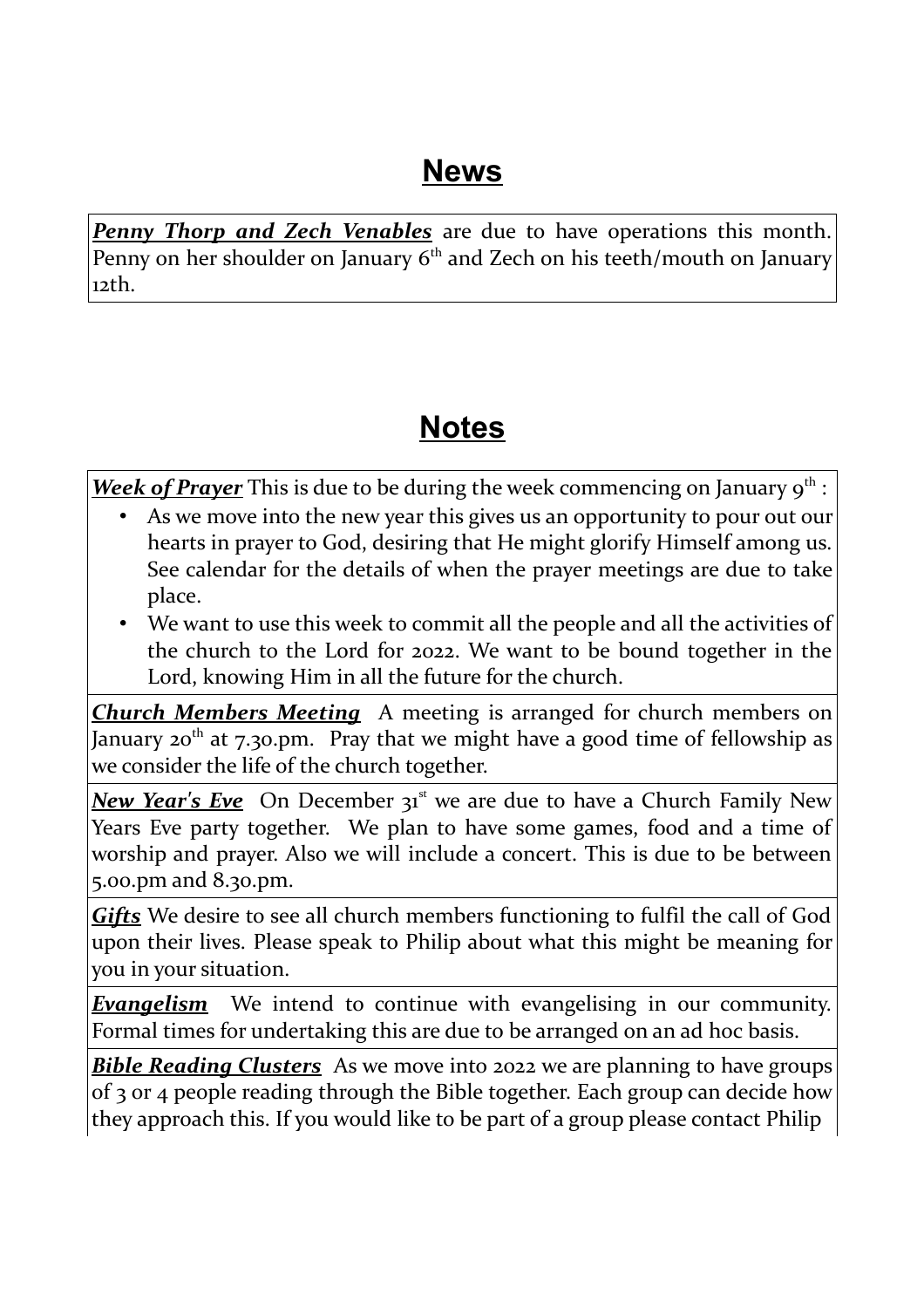### **News**

*Penny Thorp and Zech Venables* are due to have operations this month. Penny on her shoulder on January 6<sup>th</sup> and Zech on his teeth/mouth on January 12th.

### **Notes**

*Week of Prayer* This is due to be during the week commencing on January 9<sup>th</sup> :

- As we move into the new year this gives us an opportunity to pour out our hearts in prayer to God, desiring that He might glorify Himself among us. See calendar for the details of when the prayer meetings are due to take place.
- We want to use this week to commit all the people and all the activities of the church to the Lord for 2022. We want to be bound together in the Lord, knowing Him in all the future for the church.

*Church Members Meeting* A meeting is arranged for church members on January 20<sup>th</sup> at 7.30.pm. Pray that we might have a good time of fellowship as we consider the life of the church together.

**New Year's Eve** On December 31<sup>st</sup> we are due to have a Church Family New Years Eve party together. We plan to have some games, food and a time of worship and prayer. Also we will include a concert. This is due to be between 5.00.pm and 8.30.pm.

*Gifts* We desire to see all church members functioning to fulfil the call of God upon their lives. Please speak to Philip about what this might be meaning for you in your situation.

*Evangelism* We intend to continue with evangelising in our community. Formal times for undertaking this are due to be arranged on an ad hoc basis.

*Bible Reading Clusters* As we move into 2022 we are planning to have groups of 3 or 4 people reading through the Bible together. Each group can decide how they approach this. If you would like to be part of a group please contact Philip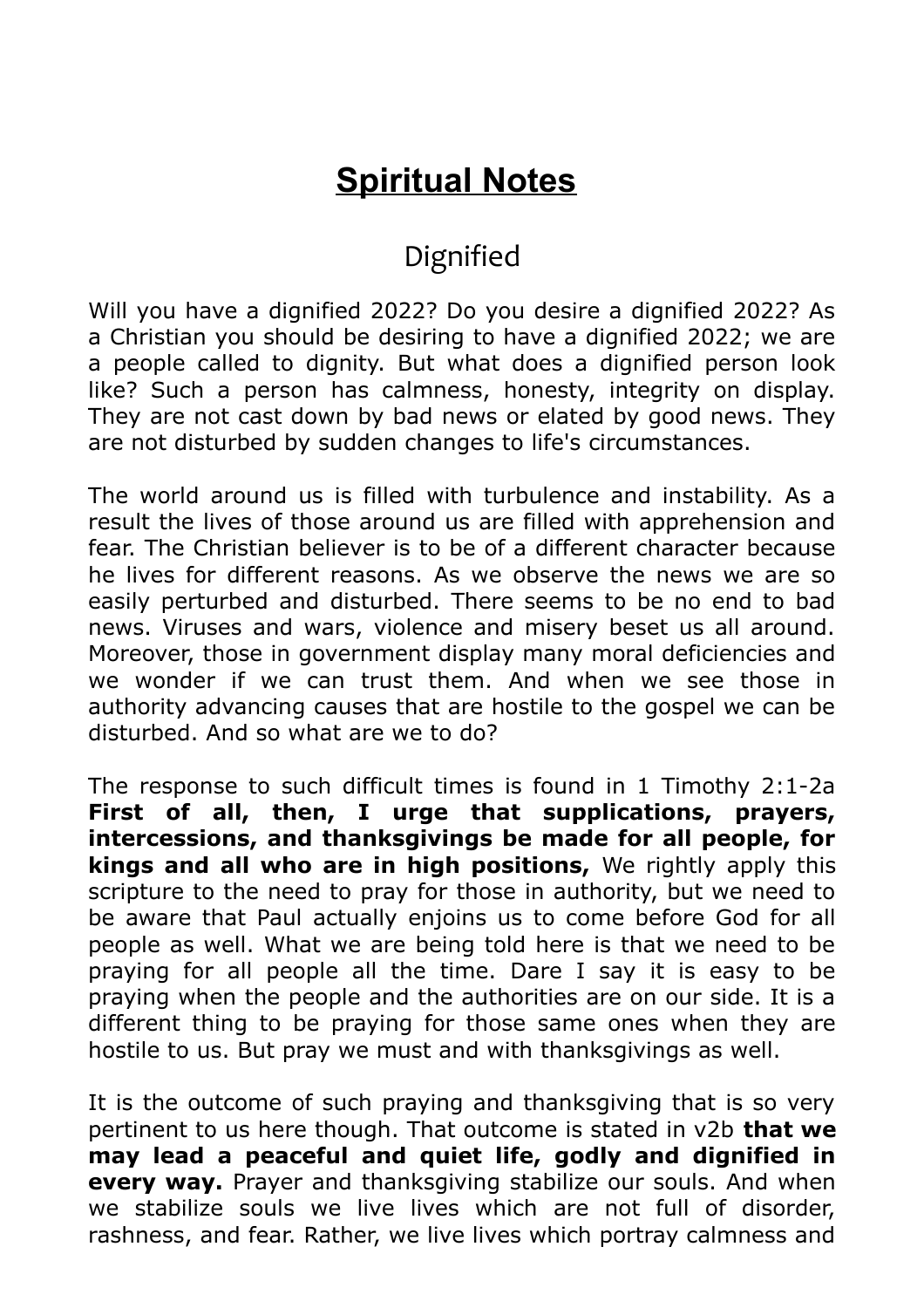### **Spiritual Notes**

### Dignified

Will you have a dignified 2022? Do you desire a dignified 2022? As a Christian you should be desiring to have a dignified 2022; we are a people called to dignity. But what does a dignified person look like? Such a person has calmness, honesty, integrity on display. They are not cast down by bad news or elated by good news. They are not disturbed by sudden changes to life's circumstances.

The world around us is filled with turbulence and instability. As a result the lives of those around us are filled with apprehension and fear. The Christian believer is to be of a different character because he lives for different reasons. As we observe the news we are so easily perturbed and disturbed. There seems to be no end to bad news. Viruses and wars, violence and misery beset us all around. Moreover, those in government display many moral deficiencies and we wonder if we can trust them. And when we see those in authority advancing causes that are hostile to the gospel we can be disturbed. And so what are we to do?

The response to such difficult times is found in 1 Timothy 2:1-2a **First of all, then, I urge that supplications, prayers, intercessions, and thanksgivings be made for all people, for kings and all who are in high positions,** We rightly apply this scripture to the need to pray for those in authority, but we need to be aware that Paul actually enjoins us to come before God for all people as well. What we are being told here is that we need to be praying for all people all the time. Dare I say it is easy to be praying when the people and the authorities are on our side. It is a different thing to be praying for those same ones when they are hostile to us. But pray we must and with thanksgivings as well.

It is the outcome of such praying and thanksgiving that is so very pertinent to us here though. That outcome is stated in v2b **that we may lead a peaceful and quiet life, godly and dignified in every way.** Prayer and thanksgiving stabilize our souls. And when we stabilize souls we live lives which are not full of disorder, rashness, and fear. Rather, we live lives which portray calmness and